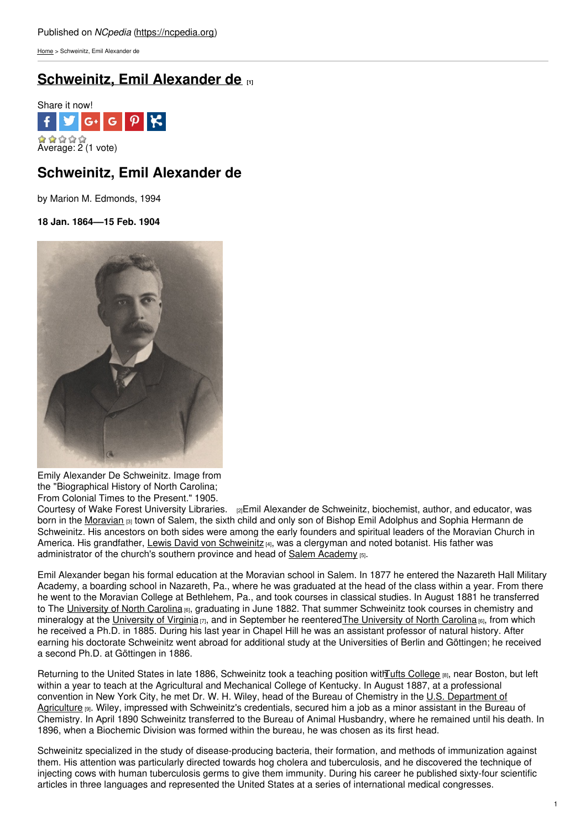[Home](https://ncpedia.org/) > Schweinitz, Emil Alexander de

# **[Schweinitz,](https://ncpedia.org/biography/schweinitz-emil-alexander) Emil Alexander de [1]**



## **Schweinitz, Emil Alexander de**

by Marion M. Edmonds, 1994

**18 Jan. 1864––15 Feb. 1904**



Emily Alexander De Schweinitz. Image from the "Biographical History of North Carolina; From Colonial Times to the Present." 1905.

Courtesy of Wake Forest [University](http://wakespace.lib.wfu.edu/handle/10339/31274) Libraries. [2]Emil Alexander de Schweinitz, biochemist, author, and educator, was born in the [Moravian](https://ncpedia.org/moravians) [3] town of Salem, the sixth child and only son of Bishop Emil Adolphus and Sophia Hermann de Schweinitz. His ancestors on both sides were among the early founders and spiritual leaders of the Moravian Church in America. His grandfather, Lewis David von [Schweinitz](https://ncpedia.org/biography/schweinitz-lewis-david) [4], was a clergyman and noted botanist. His father was administrator of the church's southern province and head of Salem [Academy](https://ncpedia.org/salem-academy-and-salem-college) [5].

Emil Alexander began his formal education at the Moravian school in Salem. In 1877 he entered the Nazareth Hall Military Academy, a boarding school in Nazareth, Pa., where he was graduated at the head of the class within a year. From there he went to the Moravian College at Bethlehem, Pa., and took courses in classical studies. In August 1881 he transferred to The [University](https://ncpedia.org/university-north-carolina-chapel-hi) of North Carolina [6], graduating in June 1882. That summer Schweinitz took courses in chemistry and mineralogy at the [University](https://ncpedia.org/university-north-carolina-chapel-hi) of Virginia [7], and in September he reentered The University of North Carolina [6], from which he received a Ph.D. in 1885. During his last year in Chapel Hill he was an assistant professor of natural history. After earning his doctorate Schweinitz went abroad for additional study at the Universities of Berlin and Göttingen; he received a second Ph.D. at Göttingen in 1886.

Returning to the United States in late 1886, Schweinitz took a teaching position withTufts [College](http://www.tufts.edu/) [8], near Boston, but left within a year to teach at the Agricultural and Mechanical College of Kentucky. In August 1887, at a professional convention in New York City, he met Dr. W. H. Wiley, head of the Bureau of Chemistry in the U.S. [Department](http://www.usda.gov/wps/portal/usda/usdahome) of Agriculture [9]. Wiley, impressed with Schweinitz's credentials, secured him a job as a minor assistant in the Bureau of Chemistry. In April 1890 Schweinitz transferred to the Bureau of Animal Husbandry, where he remained until his death. In 1896, when a Biochemic Division was formed within the bureau, he was chosen as its first head.

Schweinitz specialized in the study of disease-producing bacteria, their formation, and methods of immunization against them. His attention was particularly directed towards hog cholera and tuberculosis, and he discovered the technique of injecting cows with human tuberculosis germs to give them immunity. During his career he published sixty-four scientific articles in three languages and represented the United States at a series of international medical congresses.